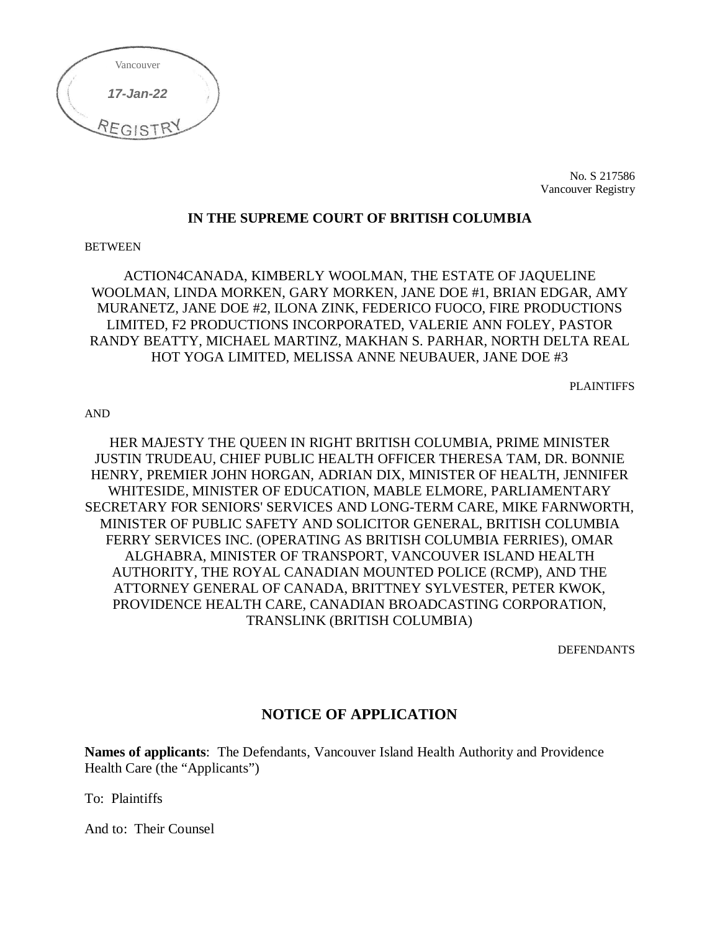

No. S 217586 Vancouver Registry

#### **IN THE SUPREME COURT OF BRITISH COLUMBIA**

#### **BETWEEN**

ACTION4CANADA, KIMBERLY WOOLMAN, THE ESTATE OF JAQUELINE WOOLMAN, LINDA MORKEN, GARY MORKEN, JANE DOE #1, BRIAN EDGAR, AMY MURANETZ, JANE DOE #2, ILONA ZINK, FEDERICO FUOCO, FIRE PRODUCTIONS LIMITED, F2 PRODUCTIONS INCORPORATED, VALERIE ANN FOLEY, PASTOR RANDY BEATTY, MICHAEL MARTINZ, MAKHAN S. PARHAR, NORTH DELTA REAL HOT YOGA LIMITED, MELISSA ANNE NEUBAUER, JANE DOE #3

PLAINTIFFS

AND

HER MAJESTY THE QUEEN IN RIGHT BRITISH COLUMBIA, PRIME MINISTER JUSTIN TRUDEAU, CHIEF PUBLIC HEALTH OFFICER THERESA TAM, DR. BONNIE HENRY, PREMIER JOHN HORGAN, ADRIAN DIX, MINISTER OF HEALTH, JENNIFER WHITESIDE, MINISTER OF EDUCATION, MABLE ELMORE, PARLIAMENTARY SECRETARY FOR SENIORS' SERVICES AND LONG-TERM CARE, MIKE FARNWORTH, MINISTER OF PUBLIC SAFETY AND SOLICITOR GENERAL, BRITISH COLUMBIA FERRY SERVICES INC. (OPERATING AS BRITISH COLUMBIA FERRIES), OMAR ALGHABRA, MINISTER OF TRANSPORT, VANCOUVER ISLAND HEALTH AUTHORITY, THE ROYAL CANADIAN MOUNTED POLICE (RCMP), AND THE ATTORNEY GENERAL OF CANADA, BRITTNEY SYLVESTER, PETER KWOK, PROVIDENCE HEALTH CARE, CANADIAN BROADCASTING CORPORATION, TRANSLINK (BRITISH COLUMBIA)

DEFENDANTS

#### **NOTICE OF APPLICATION**

**Names of applicants**: The Defendants, Vancouver Island Health Authority and Providence Health Care (the "Applicants")

To: Plaintiffs

And to: Their Counsel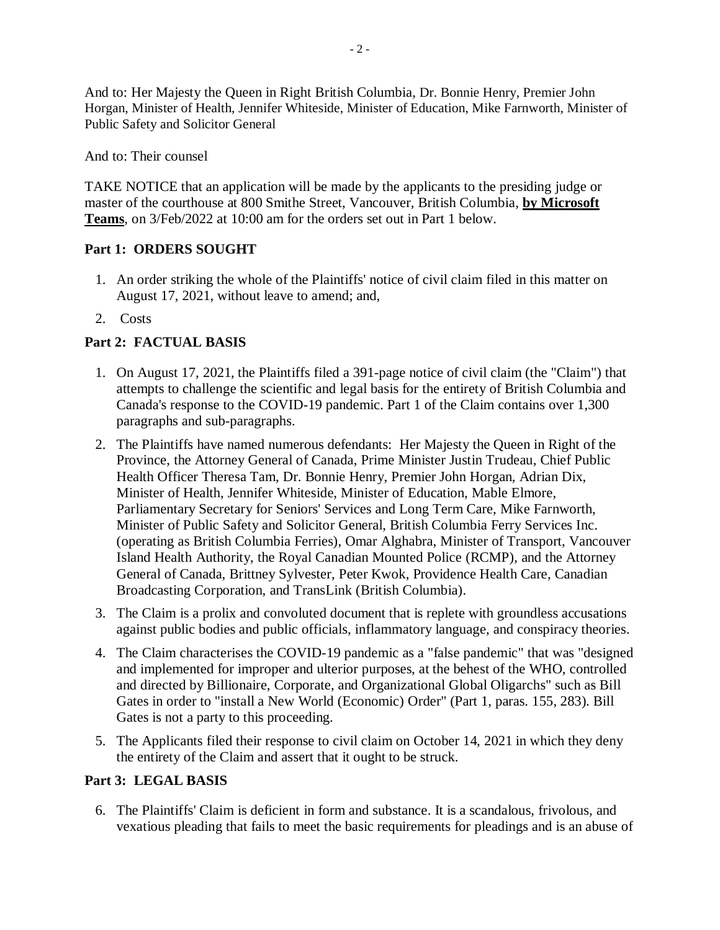And to: Her Majesty the Queen in Right British Columbia, Dr. Bonnie Henry, Premier John Horgan, Minister of Health, Jennifer Whiteside, Minister of Education, Mike Farnworth, Minister of Public Safety and Solicitor General

And to: Their counsel

TAKE NOTICE that an application will be made by the applicants to the presiding judge or master of the courthouse at 800 Smithe Street, Vancouver, British Columbia, **by Microsoft Teams**, on 3/Feb/2022 at 10:00 am for the orders set out in Part 1 below.

## **Part 1: ORDERS SOUGHT**

- 1. An order striking the whole of the Plaintiffs' notice of civil claim filed in this matter on August 17, 2021, without leave to amend; and,
- 2. Costs

# **Part 2: FACTUAL BASIS**

- 1. On August 17, 2021, the Plaintiffs filed a 391-page notice of civil claim (the "Claim") that attempts to challenge the scientific and legal basis for the entirety of British Columbia and Canada's response to the COVID-19 pandemic. Part 1 of the Claim contains over 1,300 paragraphs and sub-paragraphs.
- 2. The Plaintiffs have named numerous defendants: Her Majesty the Queen in Right of the Province, the Attorney General of Canada, Prime Minister Justin Trudeau, Chief Public Health Officer Theresa Tam, Dr. Bonnie Henry, Premier John Horgan, Adrian Dix, Minister of Health, Jennifer Whiteside, Minister of Education, Mable Elmore, Parliamentary Secretary for Seniors' Services and Long Term Care, Mike Farnworth, Minister of Public Safety and Solicitor General, British Columbia Ferry Services Inc. (operating as British Columbia Ferries), Omar Alghabra, Minister of Transport, Vancouver Island Health Authority, the Royal Canadian Mounted Police (RCMP), and the Attorney General of Canada, Brittney Sylvester, Peter Kwok, Providence Health Care, Canadian Broadcasting Corporation, and TransLink (British Columbia).
- 3. The Claim is a prolix and convoluted document that is replete with groundless accusations against public bodies and public officials, inflammatory language, and conspiracy theories.
- 4. The Claim characterises the COVID-19 pandemic as a "false pandemic" that was "designed and implemented for improper and ulterior purposes, at the behest of the WHO, controlled and directed by Billionaire, Corporate, and Organizational Global Oligarchs" such as Bill Gates in order to "install a New World (Economic) Order" (Part 1, paras. 155, 283). Bill Gates is not a party to this proceeding.
- 5. The Applicants filed their response to civil claim on October 14, 2021 in which they deny the entirety of the Claim and assert that it ought to be struck.

## **Part 3: LEGAL BASIS**

6. The Plaintiffs' Claim is deficient in form and substance. It is a scandalous, frivolous, and vexatious pleading that fails to meet the basic requirements for pleadings and is an abuse of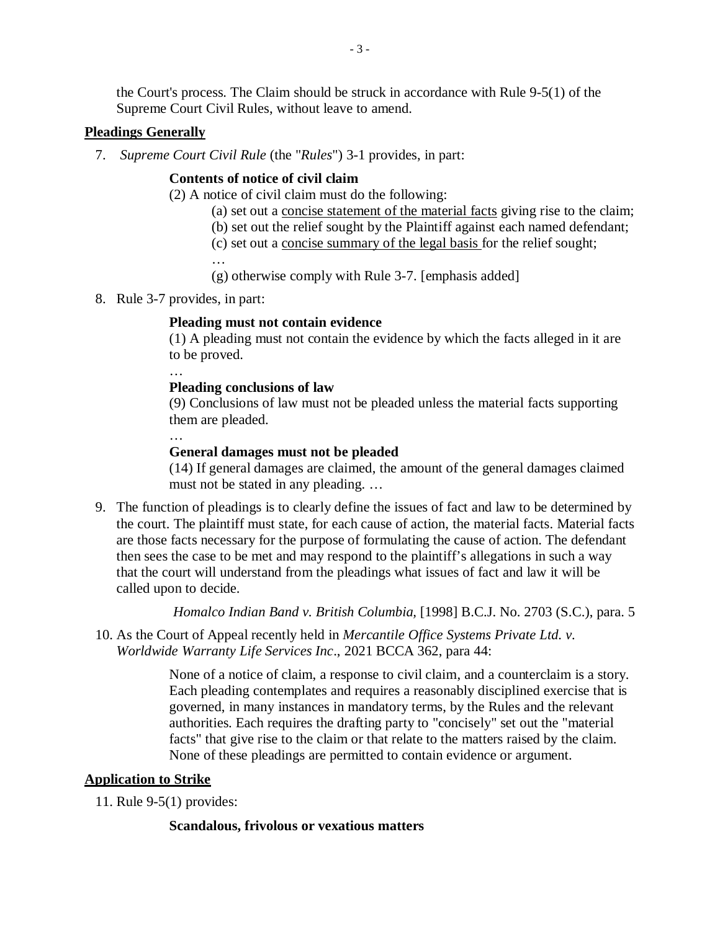the Court's process. The Claim should be struck in accordance with Rule 9-5(1) of the Supreme Court Civil Rules, without leave to amend.

#### **Pleadings Generally**

7. *Supreme Court Civil Rule* (the "*Rules*") 3-1 provides, in part:

### **Contents of notice of civil claim**

(2) A notice of civil claim must do the following:

- (a) set out a concise statement of the material facts giving rise to the claim;
- (b) set out the relief sought by the Plaintiff against each named defendant;
- (c) set out a concise summary of the legal basis for the relief sought;

…

- (g) otherwise comply with Rule 3-7. [emphasis added]
- 8. Rule 3-7 provides, in part:

### **Pleading must not contain evidence**

(1) A pleading must not contain the evidence by which the facts alleged in it are to be proved.

# …

### **Pleading conclusions of law**

(9) Conclusions of law must not be pleaded unless the material facts supporting them are pleaded. …

## **General damages must not be pleaded**

(14) If general damages are claimed, the amount of the general damages claimed must not be stated in any pleading. …

9. The function of pleadings is to clearly define the issues of fact and law to be determined by the court. The plaintiff must state, for each cause of action, the material facts. Material facts are those facts necessary for the purpose of formulating the cause of action. The defendant then sees the case to be met and may respond to the plaintiff's allegations in such a way that the court will understand from the pleadings what issues of fact and law it will be called upon to decide.

*Homalco Indian Band v. British Columbia,* [1998] B.C.J. No. 2703 (S.C.), para. 5

10. As the Court of Appeal recently held in *Mercantile Office Systems Private Ltd. v. Worldwide Warranty Life Services Inc*., 2021 BCCA 362, para 44:

> None of a notice of claim, a response to civil claim, and a counterclaim is a story. Each pleading contemplates and requires a reasonably disciplined exercise that is governed, in many instances in mandatory terms, by the Rules and the relevant authorities. Each requires the drafting party to "concisely" set out the "material facts" that give rise to the claim or that relate to the matters raised by the claim. None of these pleadings are permitted to contain evidence or argument.

## **Application to Strike**

11. Rule 9-5(1) provides:

#### **Scandalous, frivolous or vexatious matters**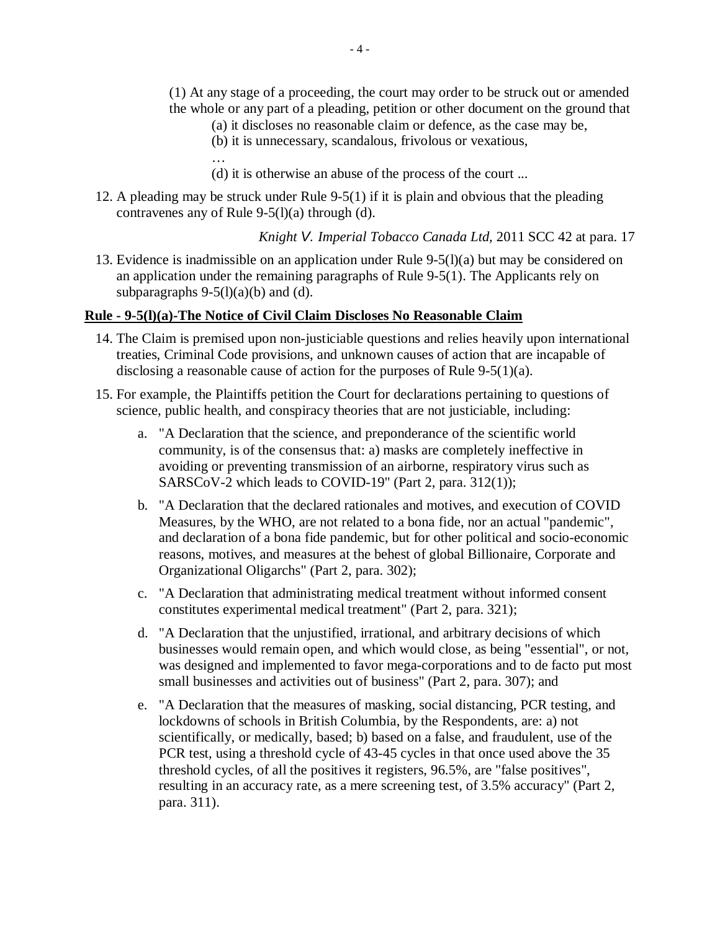- (1) At any stage of a proceeding, the court may order to be struck out or amended the whole or any part of a pleading, petition or other document on the ground that
	- (a) it discloses no reasonable claim or defence, as the case may be,
	- (b) it is unnecessary, scandalous, frivolous or vexatious,

- (d) it is otherwise an abuse of the process of the court ...
- 12. A pleading may be struck under Rule 9-5(1) if it is plain and obvious that the pleading contravenes any of Rule 9-5(l)(a) through (d).

*Knight V. Imperial Tobacco Canada Ltd,* 2011 SCC 42 at para. 17

13. Evidence is inadmissible on an application under Rule 9-5(l)(a) but may be considered on an application under the remaining paragraphs of Rule 9-5(1). The Applicants rely on subparagraphs  $9-5(1)(a)(b)$  and (d).

### **Rule - 9-5(l)(a)-The Notice of Civil Claim Discloses No Reasonable Claim**

- 14. The Claim is premised upon non-justiciable questions and relies heavily upon international treaties, Criminal Code provisions, and unknown causes of action that are incapable of disclosing a reasonable cause of action for the purposes of Rule 9-5(1)(a).
- 15. For example, the Plaintiffs petition the Court for declarations pertaining to questions of science, public health, and conspiracy theories that are not justiciable, including:
	- a. "A Declaration that the science, and preponderance of the scientific world community, is of the consensus that: a) masks are completely ineffective in avoiding or preventing transmission of an airborne, respiratory virus such as SARSCoV-2 which leads to COVID-19" (Part 2, para. 312(1));
	- b. "A Declaration that the declared rationales and motives, and execution of COVID Measures, by the WHO, are not related to a bona fide, nor an actual "pandemic", and declaration of a bona fide pandemic, but for other political and socio-economic reasons, motives, and measures at the behest of global Billionaire, Corporate and Organizational Oligarchs" (Part 2, para. 302);
	- c. "A Declaration that administrating medical treatment without informed consent constitutes experimental medical treatment" (Part 2, para. 321);
	- d. "A Declaration that the unjustified, irrational, and arbitrary decisions of which businesses would remain open, and which would close, as being "essential", or not, was designed and implemented to favor mega-corporations and to de facto put most small businesses and activities out of business" (Part 2, para. 307); and
	- e. "A Declaration that the measures of masking, social distancing, PCR testing, and lockdowns of schools in British Columbia, by the Respondents, are: a) not scientifically, or medically, based; b) based on a false, and fraudulent, use of the PCR test, using a threshold cycle of 43-45 cycles in that once used above the 35 threshold cycles, of all the positives it registers, 96.5%, are "false positives", resulting in an accuracy rate, as a mere screening test, of 3.5% accuracy" (Part 2, para. 311).

<sup>…</sup>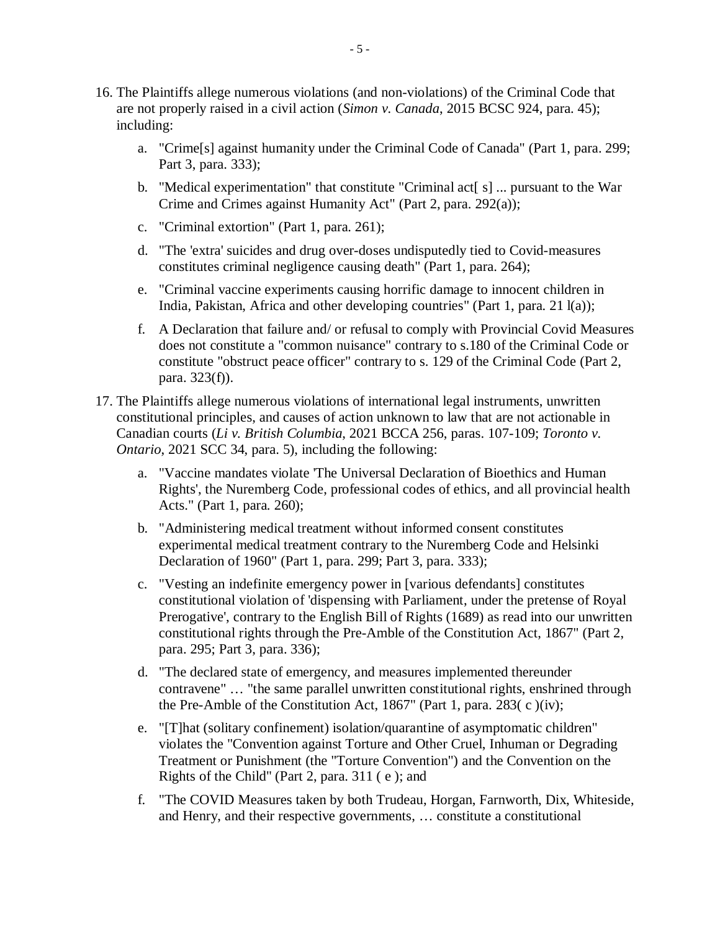- 16. The Plaintiffs allege numerous violations (and non-violations) of the Criminal Code that are not properly raised in a civil action (*Simon v. Canada*, 2015 BCSC 924, para. 45); including:
	- a. "Crime[s] against humanity under the Criminal Code of Canada" (Part 1, para. 299; Part 3, para. 333);
	- b. "Medical experimentation" that constitute "Criminal act<sup>[s]</sup> ... pursuant to the War Crime and Crimes against Humanity Act" (Part 2, para. 292(a));
	- c. "Criminal extortion" (Part 1, para. 261);
	- d. "The 'extra' suicides and drug over-doses undisputedly tied to Covid-measures constitutes criminal negligence causing death" (Part 1, para. 264);
	- e. "Criminal vaccine experiments causing horrific damage to innocent children in India, Pakistan, Africa and other developing countries" (Part 1, para. 21 l(a));
	- f. A Declaration that failure and/ or refusal to comply with Provincial Covid Measures does not constitute a "common nuisance" contrary to s.180 of the Criminal Code or constitute "obstruct peace officer" contrary to s. 129 of the Criminal Code (Part 2, para. 323(f)).
- 17. The Plaintiffs allege numerous violations of international legal instruments, unwritten constitutional principles, and causes of action unknown to law that are not actionable in Canadian courts (*Li v. British Columbia*, 2021 BCCA 256, paras. 107-109; *Toronto v. Ontario*, 2021 SCC 34, para. 5), including the following:
	- a. "Vaccine mandates violate 'The Universal Declaration of Bioethics and Human Rights', the Nuremberg Code, professional codes of ethics, and all provincial health Acts." (Part 1, para. 260);
	- b. "Administering medical treatment without informed consent constitutes experimental medical treatment contrary to the Nuremberg Code and Helsinki Declaration of 1960" (Part 1, para. 299; Part 3, para. 333);
	- c. "Vesting an indefinite emergency power in [various defendants] constitutes constitutional violation of 'dispensing with Parliament, under the pretense of Royal Prerogative', contrary to the English Bill of Rights (1689) as read into our unwritten constitutional rights through the Pre-Amble of the Constitution Act, 1867" (Part 2, para. 295; Part 3, para. 336);
	- d. "The declared state of emergency, and measures implemented thereunder contravene" … "the same parallel unwritten constitutional rights, enshrined through the Pre-Amble of the Constitution Act, 1867" (Part 1, para. 283( $\,$ c $\,$ )(iv);
	- e. "[T]hat (solitary confinement) isolation/quarantine of asymptomatic children" violates the "Convention against Torture and Other Cruel, Inhuman or Degrading Treatment or Punishment (the "Torture Convention") and the Convention on the Rights of the Child'' (Part 2, para. 311 ( e ); and
	- f. "The COVID Measures taken by both Trudeau, Horgan, Farnworth, Dix, Whiteside, and Henry, and their respective governments, … constitute a constitutional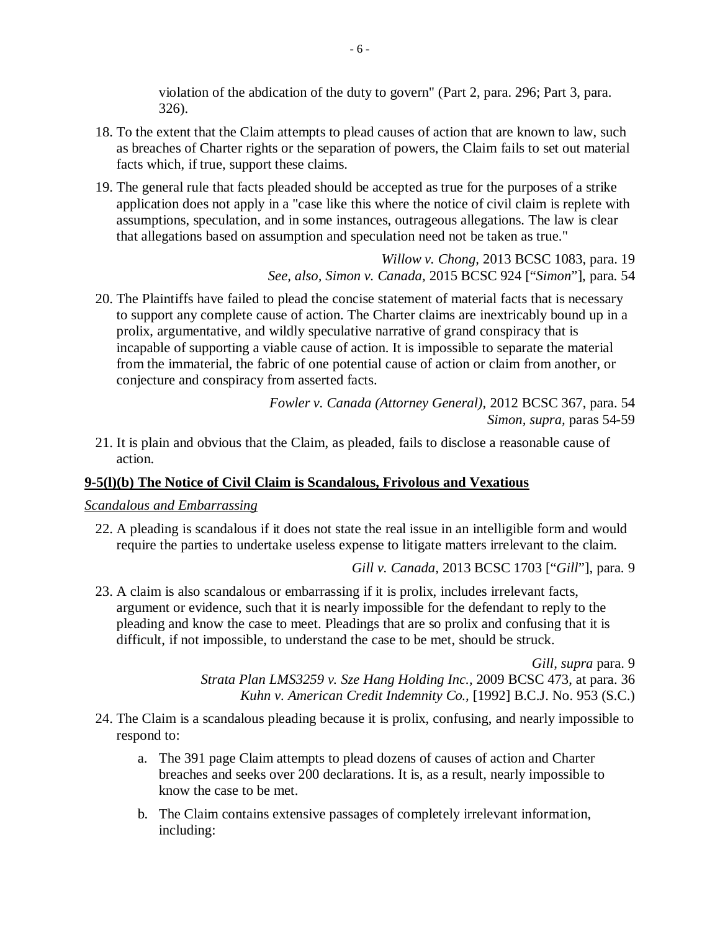violation of the abdication of the duty to govern" (Part 2, para. 296; Part 3, para. 326).

- 18. To the extent that the Claim attempts to plead causes of action that are known to law, such as breaches of Charter rights or the separation of powers, the Claim fails to set out material facts which, if true, support these claims.
- 19. The general rule that facts pleaded should be accepted as true for the purposes of a strike application does not apply in a "case like this where the notice of civil claim is replete with assumptions, speculation, and in some instances, outrageous allegations. The law is clear that allegations based on assumption and speculation need not be taken as true."

*Willow v. Chong,* 2013 BCSC 1083, para. 19 *See, also, Simon v. Canada,* 2015 BCSC 924 ["*Simon*"], para. 54

20. The Plaintiffs have failed to plead the concise statement of material facts that is necessary to support any complete cause of action. The Charter claims are inextricably bound up in a prolix, argumentative, and wildly speculative narrative of grand conspiracy that is incapable of supporting a viable cause of action. It is impossible to separate the material from the immaterial, the fabric of one potential cause of action or claim from another, or conjecture and conspiracy from asserted facts.

> *Fowler v. Canada (Attorney General),* 2012 BCSC 367, para. 54 *Simon, supra,* paras 54-59

21. It is plain and obvious that the Claim, as pleaded, fails to disclose a reasonable cause of action.

#### **9-5(l)(b) The Notice of Civil Claim is Scandalous, Frivolous and Vexatious**

#### *Scandalous and Embarrassing*

22. A pleading is scandalous if it does not state the real issue in an intelligible form and would require the parties to undertake useless expense to litigate matters irrelevant to the claim.

*Gill v. Canada,* 2013 BCSC 1703 ["*Gill*"], para. 9

23. A claim is also scandalous or embarrassing if it is prolix, includes irrelevant facts, argument or evidence, such that it is nearly impossible for the defendant to reply to the pleading and know the case to meet. Pleadings that are so prolix and confusing that it is difficult, if not impossible, to understand the case to be met, should be struck.

> *Gill, supra* para. 9 *Strata Plan LMS3259 v. Sze Hang Holding Inc.,* 2009 BCSC 473, at para. 36 *Kuhn v. American Credit Indemnity Co.,* [1992] B.C.J. No. 953 (S.C.)

- 24. The Claim is a scandalous pleading because it is prolix, confusing, and nearly impossible to respond to:
	- a. The 391 page Claim attempts to plead dozens of causes of action and Charter breaches and seeks over 200 declarations. It is, as a result, nearly impossible to know the case to be met.
	- b. The Claim contains extensive passages of completely irrelevant information, including: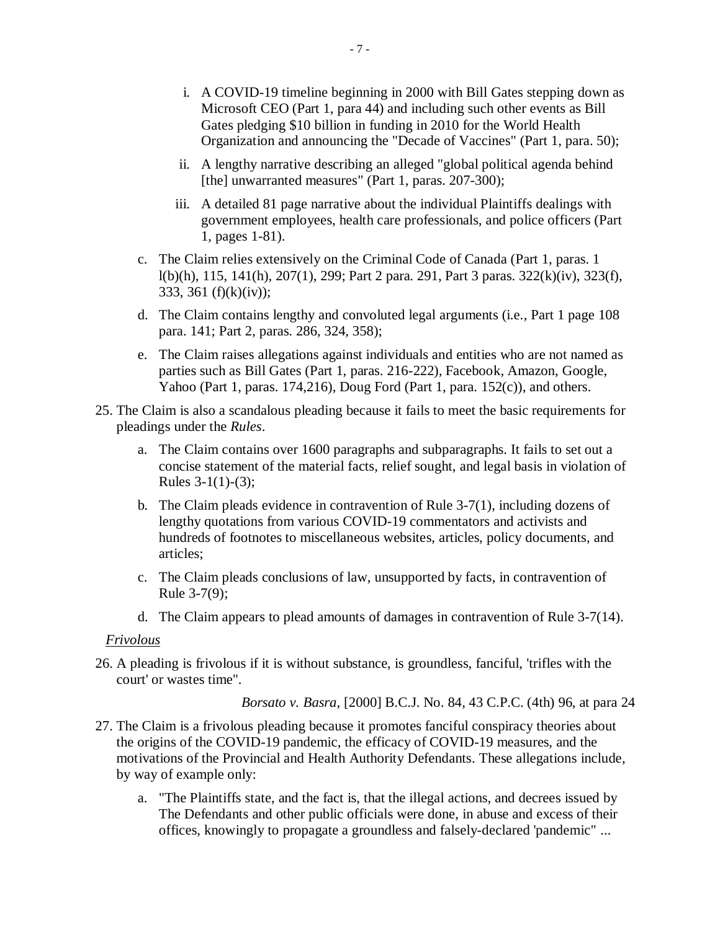- i. A COVID-19 timeline beginning in 2000 with Bill Gates stepping down as Microsoft CEO (Part 1, para 44) and including such other events as Bill Gates pledging \$10 billion in funding in 2010 for the World Health Organization and announcing the "Decade of Vaccines" (Part 1, para. 50);
- ii. A lengthy narrative describing an alleged "global political agenda behind [the] unwarranted measures" (Part 1, paras. 207-300);
- iii. A detailed 81 page narrative about the individual Plaintiffs dealings with government employees, health care professionals, and police officers (Part 1, pages 1-81).
- c. The Claim relies extensively on the Criminal Code of Canada (Part 1, paras. 1 l(b)(h), 115, 141(h), 207(1), 299; Part 2 para. 291, Part 3 paras. 322(k)(iv), 323(f), 333, 361 (f)(k)(iv));
- d. The Claim contains lengthy and convoluted legal arguments (i.e., Part 1 page 108 para. 141; Part 2, paras. 286, 324, 358);
- e. The Claim raises allegations against individuals and entities who are not named as parties such as Bill Gates (Part 1, paras. 216-222), Facebook, Amazon, Google, Yahoo (Part 1, paras. 174,216), Doug Ford (Part 1, para. 152(c)), and others.
- 25. The Claim is also a scandalous pleading because it fails to meet the basic requirements for pleadings under the *Rules*.
	- a. The Claim contains over 1600 paragraphs and subparagraphs. It fails to set out a concise statement of the material facts, relief sought, and legal basis in violation of Rules  $3-1(1)-(3)$ ;
	- b. The Claim pleads evidence in contravention of Rule 3-7(1), including dozens of lengthy quotations from various COVID-19 commentators and activists and hundreds of footnotes to miscellaneous websites, articles, policy documents, and articles;
	- c. The Claim pleads conclusions of law, unsupported by facts, in contravention of Rule 3-7(9);
	- d. The Claim appears to plead amounts of damages in contravention of Rule 3-7(14).

#### *Frivolous*

26. A pleading is frivolous if it is without substance, is groundless, fanciful, 'trifles with the court' or wastes time".

*Borsato v. Basra*, [2000] B.C.J. No. 84, 43 C.P.C. (4th) 96, at para 24

- 27. The Claim is a frivolous pleading because it promotes fanciful conspiracy theories about the origins of the COVID-19 pandemic, the efficacy of COVID-19 measures, and the motivations of the Provincial and Health Authority Defendants. These allegations include, by way of example only:
	- a. "The Plaintiffs state, and the fact is, that the illegal actions, and decrees issued by The Defendants and other public officials were done, in abuse and excess of their offices, knowingly to propagate a groundless and falsely-declared 'pandemic" ...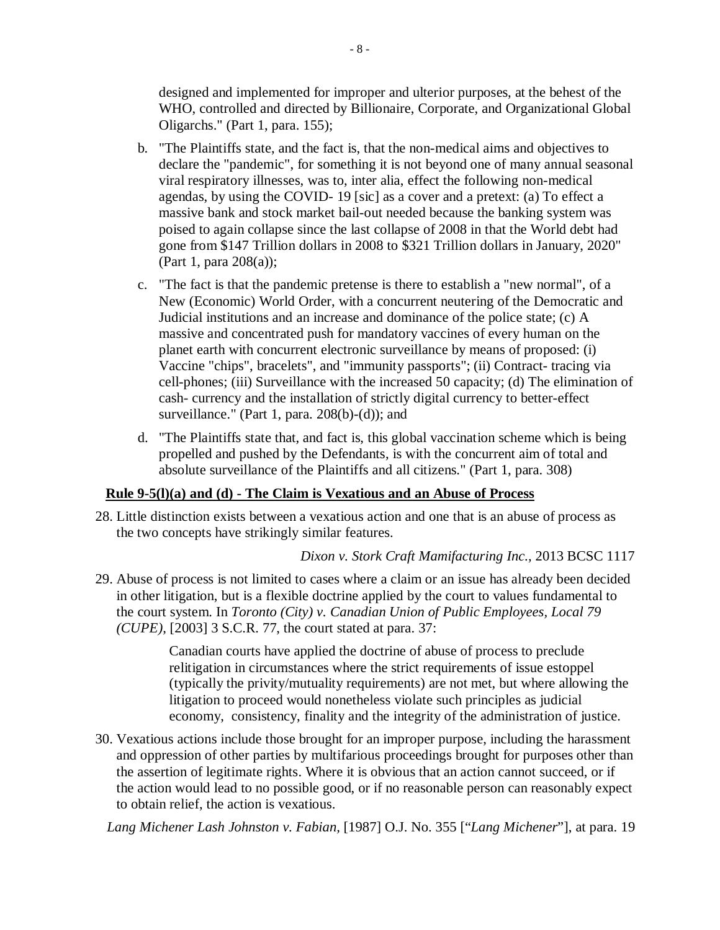designed and implemented for improper and ulterior purposes, at the behest of the WHO, controlled and directed by Billionaire, Corporate, and Organizational Global Oligarchs." (Part 1, para. 155);

- b. "The Plaintiffs state, and the fact is, that the non-medical aims and objectives to declare the "pandemic", for something it is not beyond one of many annual seasonal viral respiratory illnesses, was to, inter alia, effect the following non-medical agendas, by using the COVID- 19 [sic] as a cover and a pretext: (a) To effect a massive bank and stock market bail-out needed because the banking system was poised to again collapse since the last collapse of 2008 in that the World debt had gone from \$147 Trillion dollars in 2008 to \$321 Trillion dollars in January, 2020" (Part 1, para 208(a));
- c. "The fact is that the pandemic pretense is there to establish a "new normal", of a New (Economic) World Order, with a concurrent neutering of the Democratic and Judicial institutions and an increase and dominance of the police state; (c) A massive and concentrated push for mandatory vaccines of every human on the planet earth with concurrent electronic surveillance by means of proposed: (i) Vaccine "chips", bracelets", and "immunity passports"; (ii) Contract- tracing via cell-phones; (iii) Surveillance with the increased 50 capacity; (d) The elimination of cash- currency and the installation of strictly digital currency to better-effect surveillance." (Part 1, para. 208(b)-(d)); and
- d. "The Plaintiffs state that, and fact is, this global vaccination scheme which is being propelled and pushed by the Defendants, is with the concurrent aim of total and absolute surveillance of the Plaintiffs and all citizens." (Part 1, para. 308)

## **Rule 9-5(l)(a) and (d) - The Claim is Vexatious and an Abuse of Process**

28. Little distinction exists between a vexatious action and one that is an abuse of process as the two concepts have strikingly similar features.

## *Dixon v. Stork Craft Mamifacturing Inc.,* 2013 BCSC 1117

29. Abuse of process is not limited to cases where a claim or an issue has already been decided in other litigation, but is a flexible doctrine applied by the court to values fundamental to the court system. In *Toronto (City) v. Canadian Union of Public Employees, Local 79 (CUPE)*, [2003] 3 S.C.R. 77, the court stated at para. 37:

> Canadian courts have applied the doctrine of abuse of process to preclude relitigation in circumstances where the strict requirements of issue estoppel (typically the privity/mutuality requirements) are not met, but where allowing the litigation to proceed would nonetheless violate such principles as judicial economy, consistency, finality and the integrity of the administration of justice.

30. Vexatious actions include those brought for an improper purpose, including the harassment and oppression of other parties by multifarious proceedings brought for purposes other than the assertion of legitimate rights. Where it is obvious that an action cannot succeed, or if the action would lead to no possible good, or if no reasonable person can reasonably expect to obtain relief, the action is vexatious.

*Lang Michener Lash Johnston v. Fabian,* [1987] O.J. No. 355 ["*Lang Michener*"], at para. 19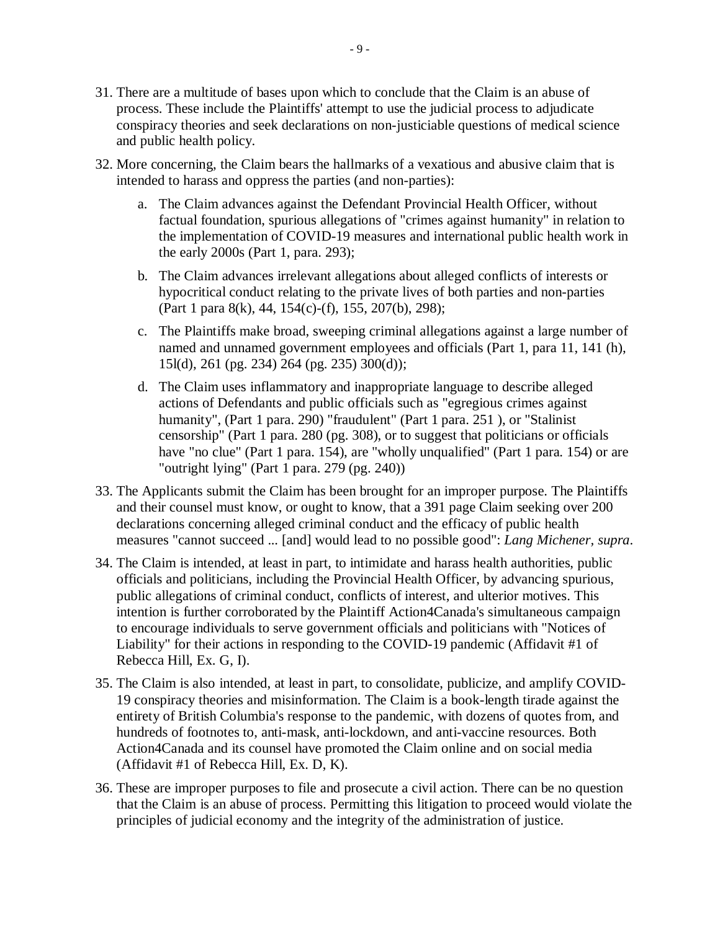- 31. There are a multitude of bases upon which to conclude that the Claim is an abuse of process. These include the Plaintiffs' attempt to use the judicial process to adjudicate conspiracy theories and seek declarations on non-justiciable questions of medical science and public health policy.
- 32. More concerning, the Claim bears the hallmarks of a vexatious and abusive claim that is intended to harass and oppress the parties (and non-parties):
	- a. The Claim advances against the Defendant Provincial Health Officer, without factual foundation, spurious allegations of "crimes against humanity" in relation to the implementation of COVID-19 measures and international public health work in the early 2000s (Part 1, para. 293);
	- b. The Claim advances irrelevant allegations about alleged conflicts of interests or hypocritical conduct relating to the private lives of both parties and non-parties (Part 1 para 8(k), 44, 154(c)-(f), 155, 207(b), 298);
	- c. The Plaintiffs make broad, sweeping criminal allegations against a large number of named and unnamed government employees and officials (Part 1, para 11, 141 (h), 15l(d), 261 (pg. 234) 264 (pg. 235) 300(d));
	- d. The Claim uses inflammatory and inappropriate language to describe alleged actions of Defendants and public officials such as "egregious crimes against humanity", (Part 1 para. 290) "fraudulent" (Part 1 para. 251 ), or "Stalinist censorship" (Part 1 para. 280 (pg. 308), or to suggest that politicians or officials have "no clue" (Part 1 para. 154), are "wholly unqualified" (Part 1 para. 154) or are "outright lying" (Part 1 para. 279 (pg. 240))
- 33. The Applicants submit the Claim has been brought for an improper purpose. The Plaintiffs and their counsel must know, or ought to know, that a 391 page Claim seeking over 200 declarations concerning alleged criminal conduct and the efficacy of public health measures "cannot succeed ... [and] would lead to no possible good": *Lang Michener, supra*.
- 34. The Claim is intended, at least in part, to intimidate and harass health authorities, public officials and politicians, including the Provincial Health Officer, by advancing spurious, public allegations of criminal conduct, conflicts of interest, and ulterior motives. This intention is further corroborated by the Plaintiff Action4Canada's simultaneous campaign to encourage individuals to serve government officials and politicians with "Notices of Liability" for their actions in responding to the COVID-19 pandemic (Affidavit #1 of Rebecca Hill, Ex. G, I).
- 35. The Claim is also intended, at least in part, to consolidate, publicize, and amplify COVID-19 conspiracy theories and misinformation. The Claim is a book-length tirade against the entirety of British Columbia's response to the pandemic, with dozens of quotes from, and hundreds of footnotes to, anti-mask, anti-lockdown, and anti-vaccine resources. Both Action4Canada and its counsel have promoted the Claim online and on social media (Affidavit #1 of Rebecca Hill, Ex. D, K).
- 36. These are improper purposes to file and prosecute a civil action. There can be no question that the Claim is an abuse of process. Permitting this litigation to proceed would violate the principles of judicial economy and the integrity of the administration of justice.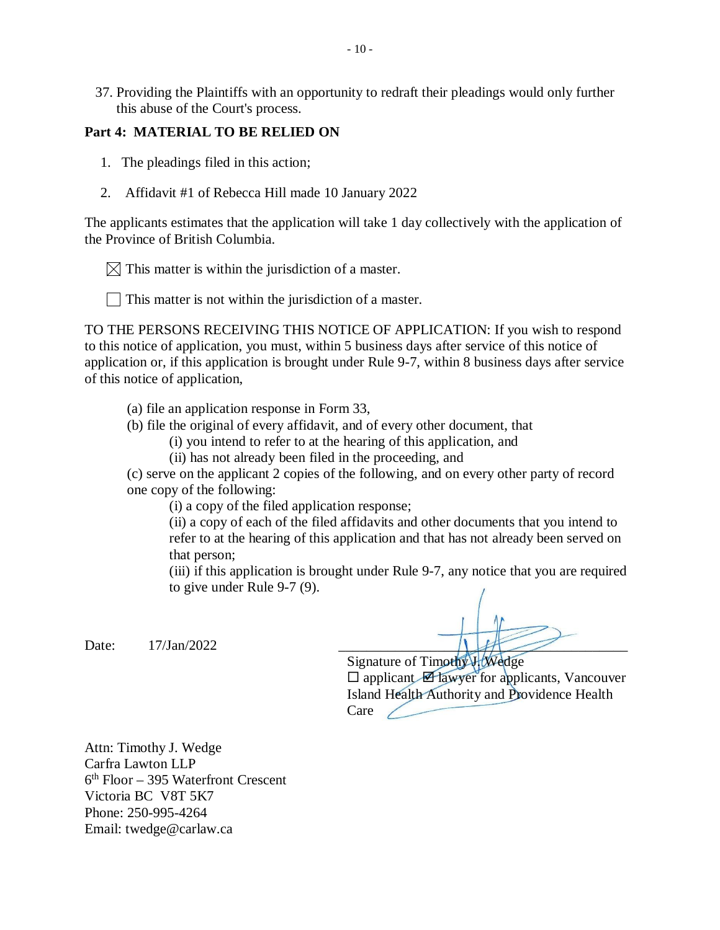37. Providing the Plaintiffs with an opportunity to redraft their pleadings would only further this abuse of the Court's process.

#### **Part 4: MATERIAL TO BE RELIED ON**

- 1. The pleadings filed in this action;
- 2. Affidavit #1 of Rebecca Hill made 10 January 2022

The applicants estimates that the application will take 1 day collectively with the application of the Province of British Columbia.

 $\boxtimes$  This matter is within the jurisdiction of a master.

 $\parallel$  This matter is not within the jurisdiction of a master.

TO THE PERSONS RECEIVING THIS NOTICE OF APPLICATION: If you wish to respond to this notice of application, you must, within 5 business days after service of this notice of application or, if this application is brought under Rule 9-7, within 8 business days after service of this notice of application,

(a) file an application response in Form 33,

(b) file the original of every affidavit, and of every other document, that

(i) you intend to refer to at the hearing of this application, and

(ii) has not already been filed in the proceeding, and

(c) serve on the applicant 2 copies of the following, and on every other party of record one copy of the following:

(i) a copy of the filed application response;

(ii) a copy of each of the filed affidavits and other documents that you intend to refer to at the hearing of this application and that has not already been served on that person;

(iii) if this application is brought under Rule 9-7, any notice that you are required to give under Rule 9-7 (9).

Date: 17/Jan/2022 \_\_\_\_\_\_\_\_\_\_\_\_\_\_\_\_\_\_\_\_\_\_\_\_\_\_\_\_\_\_\_\_\_\_\_\_\_\_\_\_\_

Signature of Timothy J. Wedge  $\square$  applicant  $\square$  lawyer for applicants, Vancouver Island Health Authority and Providence Health  $Care$ 

Attn: Timothy J. Wedge Carfra Lawton LLP 6 th Floor – 395 Waterfront Crescent Victoria BC V8T 5K7 Phone: 250-995-4264 Email: [twedge@carlaw.ca](mailto:twedge@carlaw.ca)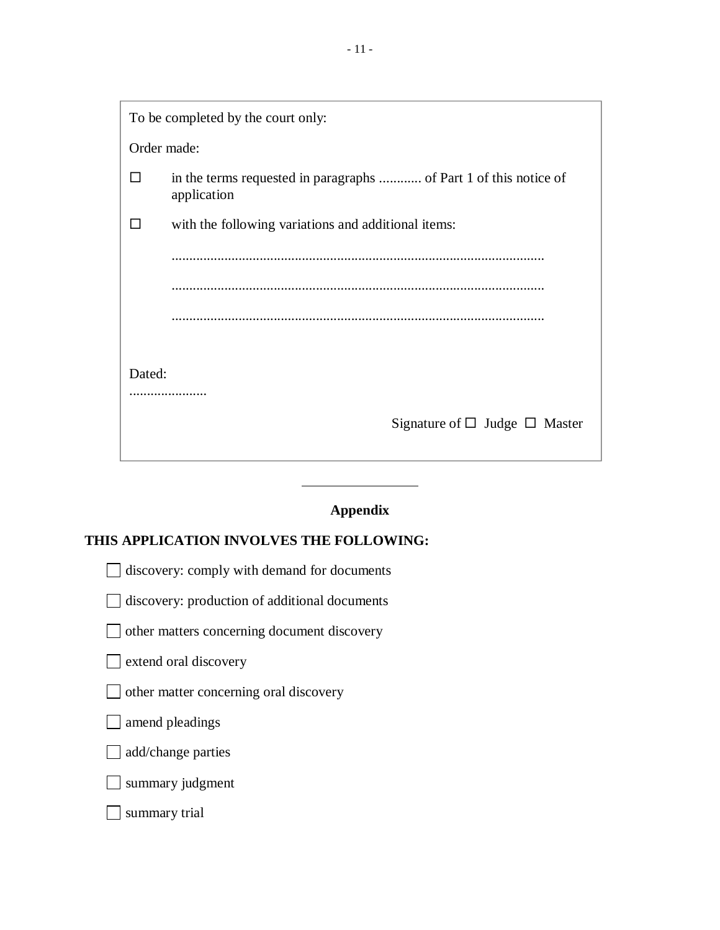- 11 -

|              | To be completed by the court only:                                               |  |  |  |
|--------------|----------------------------------------------------------------------------------|--|--|--|
| Order made:  |                                                                                  |  |  |  |
| $\mathsf{L}$ | in the terms requested in paragraphs  of Part 1 of this notice of<br>application |  |  |  |
|              | with the following variations and additional items:                              |  |  |  |
|              |                                                                                  |  |  |  |
|              |                                                                                  |  |  |  |
|              |                                                                                  |  |  |  |
|              |                                                                                  |  |  |  |
| Dated:       |                                                                                  |  |  |  |
| .            |                                                                                  |  |  |  |
|              | Signature of $\Box$ Judge $\Box$ Master                                          |  |  |  |
|              |                                                                                  |  |  |  |

# **Appendix**

## **THIS APPLICATION INVOLVES THE FOLLOWING:**

discovery: comply with demand for documents

discovery: production of additional documents

other matters concerning document discovery

sextend oral discovery

other matter concerning oral discovery

□ amend pleadings

add/change parties

summary judgment

summary trial